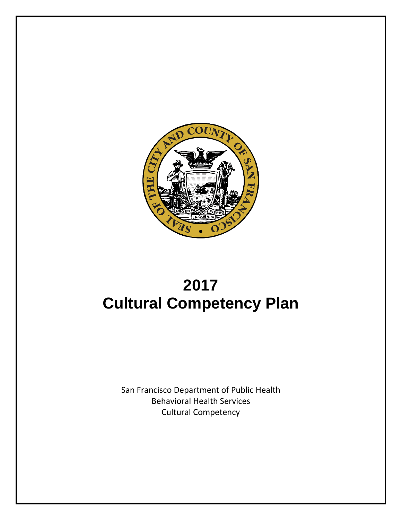

# **2017 Cultural Competency Plan**

San Francisco Department of Public Health Behavioral Health Services Cultural Competency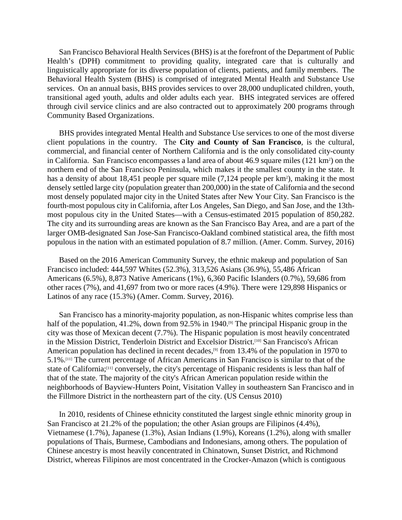San Francisco Behavioral Health Services (BHS) is at the forefront of the Department of Public Health's (DPH) commitment to providing quality, integrated care that is culturally and linguistically appropriate for its diverse population of clients, patients, and family members. The Behavioral Health System (BHS) is comprised of integrated Mental Health and Substance Use services. On an annual basis, BHS provides services to over 28,000 unduplicated children, youth, transitional aged youth, adults and older adults each year. BHS integrated services are offered through civil service clinics and are also contracted out to approximately 200 programs through Community Based Organizations.

BHS provides integrated Mental Health and Substance Use services to one of the most diverse client populations in the country. The **City and County of San Francisco**, is the cultural, commercial, and financial center of Northern California and is the only consolidated city-county in California. San Francisco encompasses a land area of about 46.9 square miles (121 km<sup>2</sup>) on the northern end of the San Francisco Peninsula, which makes it the smallest county in the state. It has a density of about 18,451 people per square mile (7,124 people per km<sup>2</sup>), making it the most densely settled large city (population greater than 200,000) in the state of California and the second most densely populated major city in the United States after New Your City. San Francisco is the [fourth-most populous city](https://en.wikipedia.org/wiki/List_of_cities_and_towns_in_California) in California, after [Los Angeles,](https://en.wikipedia.org/wiki/Los_Angeles) [San Diego,](https://en.wikipedia.org/wiki/San_Diego) and [San Jose,](https://en.wikipedia.org/wiki/San_Jose,_California) and th[e 13th](https://en.wikipedia.org/wiki/List_of_United_States_cities_by_population)[most populous city](https://en.wikipedia.org/wiki/List_of_United_States_cities_by_population) in the United States—with a Census-estimated 2015 population of 850,282. The city and its surrounding areas are known as the [San Francisco Bay Area,](https://en.wikipedia.org/wiki/San_Francisco_Bay_Area) and are a part of the larger [OMB-](https://en.wikipedia.org/wiki/Office_of_Management_and_Budget)designated [San Jose-San Francisco-Oakland](https://en.wikipedia.org/wiki/San_Jose-San_Francisco-Oakland) [combined statistical area,](https://en.wikipedia.org/wiki/Combined_statistical_area) the [fifth most](https://en.wikipedia.org/wiki/Combined_Statistical_Area#List_of_Combined_Statistical_Areas)  [populous](https://en.wikipedia.org/wiki/Combined_Statistical_Area#List_of_Combined_Statistical_Areas) in the nation with an estimated population of 8.7 million. (Amer. Comm. Survey, 2016)

Based on the 2016 American Community Survey, the ethnic makeup and population of San Francisco included: 444,597 [Whites](https://en.wikipedia.org/wiki/White_(U.S._Census)) (52.3%), 313,526 [Asians](https://en.wikipedia.org/wiki/Asian_(U.S._Census)) (36.9%), 55,486 [African](https://en.wikipedia.org/wiki/African_American_(U.S._Census))  [Americans](https://en.wikipedia.org/wiki/African_American_(U.S._Census)) (6.5%), 8,873 [Native Americans](https://en.wikipedia.org/wiki/Native_American_(U.S._Census)) (1%), 6,360 [Pacific Islanders](https://en.wikipedia.org/wiki/Pacific_Islander_(U.S._Census)) (0.7%), 59,686 from [other races](https://en.wikipedia.org/wiki/Race_(United_States_Census)) (7%), and 41,697 from two or more races (4.9%). There were 129,898 [Hispanics](https://en.wikipedia.org/wiki/Hispanic_(U.S._Census)) or [Latinos](https://en.wikipedia.org/wiki/Latino_(U.S._Census)) of any race (15.3%) (Amer. Comm. Survey, 2016).

San Francisco has a [minority-majority](https://en.wikipedia.org/wiki/Minority-majority) population, as non-Hispanic [whites](https://en.wikipedia.org/wiki/White_American) comprise less than half of the population, 41.2%, down from 92.5% in 1940.<sup>[9]</sup> The principal [Hispanic](https://en.wikipedia.org/wiki/Hispanics_in_the_United_States) group in the city was those of [Mexican](https://en.wikipedia.org/wiki/Mexican_American) decent (7.7%). The Hispanic population is most heavily concentrated in the [Mission District,](https://en.wikipedia.org/wiki/Mission_District,_San_Francisco) Tenderloin District and [Excelsior District.](https://en.wikipedia.org/wiki/Excelsior_District,_San_Francisco) [\[10\]](https://en.wikipedia.org/wiki/Demographics_of_San_Francisco#cite_note-interactivemap-10) San Francisco's [African](https://en.wikipedia.org/wiki/Black_American)  [American](https://en.wikipedia.org/wiki/Black_American) population has declined in recent decades,<sup>[9]</sup> from 13.4% of the population in 1970 to 5.1%[.\[11\]](https://en.wikipedia.org/wiki/Demographics_of_San_Francisco#cite_note-SF_QuickFacts-11) The current percentage of African Americans in San Francisco is similar to that of the state of California[;\[11\]](https://en.wikipedia.org/wiki/Demographics_of_San_Francisco#cite_note-SF_QuickFacts-11) conversely, the city's percentage of Hispanic residents is less than half of that of the state. The majority of the city's African American population reside within the neighborhoods of [Bayview-Hunters Point,](https://en.wikipedia.org/wiki/Bayview-Hunters_Point,_San_Francisco) [Visitation Valley](https://en.wikipedia.org/wiki/Visitacion_Valley,_San_Francisco) in southeastern San Francisco and in the [Fillmore District](https://en.wikipedia.org/wiki/Fillmore_District,_San_Francisco) in the northeastern part of the city. (US Census 2010)

In 2010, residents of [Chinese ethnicity](https://en.wikipedia.org/wiki/Chinese_American) constituted the largest single ethnic minority group in San Francisco at 21.2% of the population; the other Asian groups are [Filipinos](https://en.wikipedia.org/wiki/Filipino_American) (4.4%), [Vietnamese](https://en.wikipedia.org/wiki/Vietnamese_American) (1.7%), [Japanese](https://en.wikipedia.org/wiki/Japanese_American) (1.3%), [Asian Indians](https://en.wikipedia.org/wiki/Indian_American) (1.9%), [Koreans](https://en.wikipedia.org/wiki/Korean_American) (1.2%), [along with smaller](https://en.wikipedia.org/wiki/Thai_American)  [populations of Thais,](https://en.wikipedia.org/wiki/Thai_American) [Burmese,](https://en.wikipedia.org/wiki/Burmese_American) [Cambodians](https://en.wikipedia.org/wiki/Cambodian_American) and [Indonesians,](https://en.wikipedia.org/wiki/Indonesian_American) among others. The population of Chinese ancestry is most heavily concentrated in Chinatown, [Sunset District,](https://en.wikipedia.org/wiki/Sunset_District,_San_Francisco) and [Richmond](https://en.wikipedia.org/wiki/Richmond_District,_San_Francisco)  [District,](https://en.wikipedia.org/wiki/Richmond_District,_San_Francisco) whereas Filipinos are most concentrated in the [Crocker-Amazon](https://en.wikipedia.org/wiki/Crocker-Amazon,_San_Francisco) (which is contiguous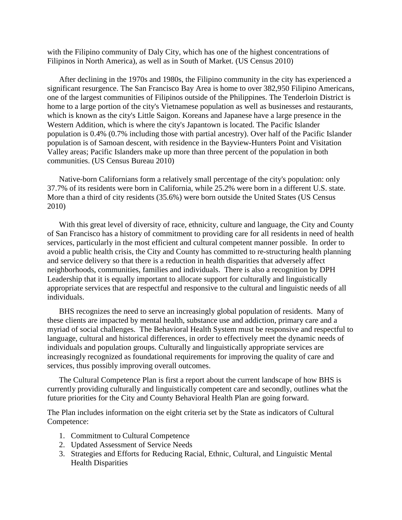with the Filipino community of [Daly City,](https://en.wikipedia.org/wiki/Daly_City,_California) which has one of the highest concentrations of Filipinos in North America), as well as in [South of Mar](https://en.wikipedia.org/wiki/South_of_Market,_San_Francisco)ket. (US Census 2010)

After declining in the 1970s and 1980s, the [Filipino](https://en.wikipedia.org/wiki/Filipino_American) community in the city has experienced a significant resurgence. The San Francisco Bay Area is home to over 382,950 Filipino Americans, one of the largest communities of Filipinos outside of the Philippines. The [Tenderloin District](https://en.wikipedia.org/wiki/Tenderloin,_San_Francisco) is home to a large portion of the city's Vietnamese population as well as businesses and restaurants, which is known as the city's Little Saigon. Koreans and Japanese have a large presence in the [Western Addition,](https://en.wikipedia.org/wiki/Western_Addition,_San_Francisco) which is where the city's [Japantown](https://en.wikipedia.org/wiki/Japantown,_San_Francisco) is located. The [Pacific Islander](https://en.wikipedia.org/wiki/Pacific_Islander_American) population is 0.4% (0.7% including those with partial ancestry). Over half of the Pacific Islander population is of [Samoan](https://en.wikipedia.org/wiki/Samoan_American) descent, with residence in the [Bayview-Hunters Point](https://en.wikipedia.org/wiki/Bayview-Hunters_Point,_San_Francisco) and [Visitation](https://en.wikipedia.org/wiki/Visitacion_Valley,_San_Francisco)  [Valley](https://en.wikipedia.org/wiki/Visitacion_Valley,_San_Francisco) areas; Pacific Islanders make up more than three percent of the population in both communities. (US Census Bureau 2010)

Native-born Californians form a relatively small percentage of the city's population: only 37.7% of its residents were born in California, while 25.2% were born in a different U.S. state. More than a third of city residents (35.6%) were born outside the United States (US Census 2010)

With this great level of diversity of race, ethnicity, culture and language, the City and County of San Francisco has a history of commitment to providing care for all residents in need of health services, particularly in the most efficient and cultural competent manner possible. In order to avoid a public health crisis, the City and County has committed to re-structuring health planning and service delivery so that there is a reduction in health disparities that adversely affect neighborhoods, communities, families and individuals. There is also a recognition by DPH Leadership that it is equally important to allocate support for culturally and linguistically appropriate services that are respectful and responsive to the cultural and linguistic needs of all individuals.

BHS recognizes the need to serve an increasingly global population of residents. Many of these clients are impacted by mental health, substance use and addiction, primary care and a myriad of social challenges. The Behavioral Health System must be responsive and respectful to language, cultural and historical differences, in order to effectively meet the dynamic needs of individuals and population groups. Culturally and linguistically appropriate services are increasingly recognized as foundational requirements for improving the quality of care and services, thus possibly improving overall outcomes.

The Cultural Competence Plan is first a report about the current landscape of how BHS is currently providing culturally and linguistically competent care and secondly, outlines what the future priorities for the City and County Behavioral Health Plan are going forward.

The Plan includes information on the eight criteria set by the State as indicators of Cultural Competence:

- 1. Commitment to Cultural Competence
- 2. Updated Assessment of Service Needs
- 3. Strategies and Efforts for Reducing Racial, Ethnic, Cultural, and Linguistic Mental Health Disparities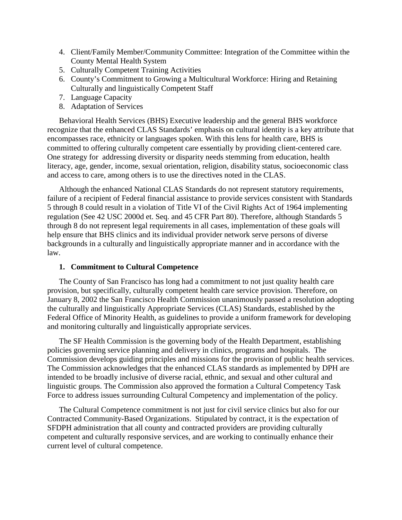- 4. Client/Family Member/Community Committee: Integration of the Committee within the County Mental Health System
- 5. Culturally Competent Training Activities
- 6. County's Commitment to Growing a Multicultural Workforce: Hiring and Retaining Culturally and linguistically Competent Staff
- 7. Language Capacity
- 8. Adaptation of Services

Behavioral Health Services (BHS) Executive leadership and the general BHS workforce recognize that the enhanced CLAS Standards' emphasis on cultural identity is a key attribute that encompasses race, ethnicity or languages spoken. With this lens for health care, BHS is committed to offering culturally competent care essentially by providing client-centered care. One strategy for addressing diversity or disparity needs stemming from education, health literacy, age, gender, income, sexual orientation, religion, disability status, socioeconomic class and access to care, among others is to use the directives noted in the CLAS.

Although the enhanced National CLAS Standards do not represent statutory requirements, failure of a recipient of Federal financial assistance to provide services consistent with Standards 5 through 8 could result in a violation of Title VI of the Civil Rights Act of 1964 implementing regulation (See 42 USC 2000d et. Seq. and 45 CFR Part 80). Therefore, although Standards 5 through 8 do not represent legal requirements in all cases, implementation of these goals will help ensure that BHS clinics and its individual provider network serve persons of diverse backgrounds in a culturally and linguistically appropriate manner and in accordance with the law.

#### **1. Commitment to Cultural Competence**

The County of San Francisco has long had a commitment to not just quality health care provision, but specifically, culturally competent health care service provision. Therefore, on January 8, 2002 the San Francisco Health Commission unanimously passed a resolution adopting the culturally and linguistically Appropriate Services (CLAS) Standards, established by the Federal Office of Minority Health, as guidelines to provide a uniform framework for developing and monitoring culturally and linguistically appropriate services.

The SF Health Commission is the governing body of the Health Department, establishing policies governing service planning and delivery in clinics, programs and hospitals. The Commission develops guiding principles and missions for the provision of public health services. The Commission acknowledges that the enhanced CLAS standards as implemented by DPH are intended to be broadly inclusive of diverse racial, ethnic, and sexual and other cultural and linguistic groups. The Commission also approved the formation a Cultural Competency Task Force to address issues surrounding Cultural Competency and implementation of the policy.

The Cultural Competence commitment is not just for civil service clinics but also for our Contracted Community-Based Organizations. Stipulated by contract, it is the expectation of SFDPH administration that all county and contracted providers are providing culturally competent and culturally responsive services, and are working to continually enhance their current level of cultural competence.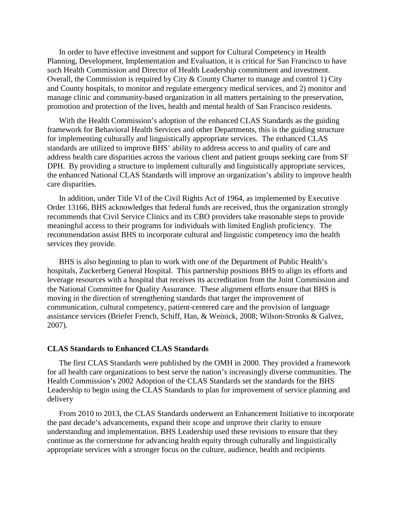In order to have effective investment and support for Cultural Competency in Health Planning, Development, Implementation and Evaluation, it is critical for San Francisco to have such Health Commission and Director of Health Leadership commitment and investment. Overall, the Commission is required by City & County Charter to manage and control 1) City and County hospitals, to monitor and regulate emergency medical services, and 2) monitor and manage clinic and community-based organization in all matters pertaining to the preservation, promotion and protection of the lives, health and mental health of San Francisco residents.

With the Health Commission's adoption of the enhanced CLAS Standards as the guiding framework for Behavioral Health Services and other Departments, this is the guiding structure for implementing culturally and linguistically appropriate services. The enhanced CLAS standards are utilized to improve BHS' ability to address access to and quality of care and address health care disparities across the various client and patient groups seeking care from SF DPH. By providing a structure to implement culturally and linguistically appropriate services, the enhanced National CLAS Standards will improve an organization's ability to improve health care disparities.

In addition, under Title VI of the Civil Rights Act of 1964, as implemented by Executive Order 13166, BHS acknowledges that federal funds are received, thus the organization strongly recommends that Civil Service Clinics and its CBO providers take reasonable steps to provide meaningful access to their programs for individuals with limited English proficiency. The recommendation assist BHS to incorporate cultural and linguistic competency into the health services they provide.

BHS is also beginning to plan to work with one of the Department of Public Health's hospitals, Zuckerberg General Hospital. This partnership positions BHS to align its efforts and leverage resources with a hospital that receives its accreditation from the Joint Commission and the National Committee for Quality Assurance. These alignment efforts ensure that BHS is moving in the direction of strengthening standards that target the improvement of communication, cultural competency, patient-centered care and the provision of language assistance services (Briefer French, Schiff, Han, & Weinick, 2008; Wilson-Stronks & Galvez, 2007).

#### **CLAS Standards to Enhanced CLAS Standards**

The first CLAS Standards were published by the OMH in 2000. They provided a framework for all health care organizations to best serve the nation's increasingly diverse communities. The Health Commission's 2002 Adoption of the CLAS Standards set the standards for the BHS Leadership to begin using the CLAS Standards to plan for improvement of service planning and delivery

From 2010 to 2013, the CLAS Standards underwent an Enhancement Initiative to incorporate the past decade's advancements, expand their scope and improve their clarity to ensure understanding and implementation. BHS Leadership used these revisions to ensure that they continue as the cornerstone for advancing health equity through culturally and linguistically appropriate services with a stronger focus on the culture, audience, health and recipients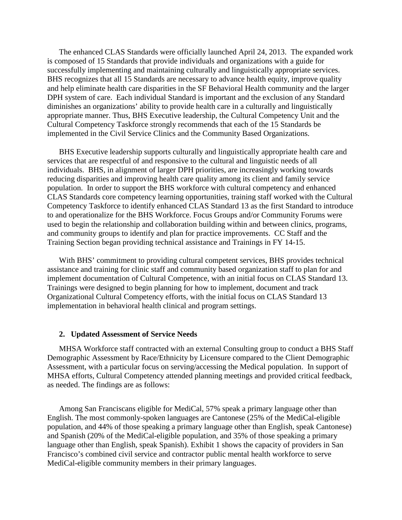The enhanced CLAS Standards were officially launched April 24, 2013. The expanded work is composed of 15 Standards that provide individuals and organizations with a guide for successfully implementing and maintaining culturally and linguistically appropriate services. BHS recognizes that all 15 Standards are necessary to advance health equity, improve quality and help eliminate health care disparities in the SF Behavioral Health community and the larger DPH system of care. Each individual Standard is important and the exclusion of any Standard diminishes an organizations' ability to provide health care in a culturally and linguistically appropriate manner. Thus, BHS Executive leadership, the Cultural Competency Unit and the Cultural Competency Taskforce strongly recommends that each of the 15 Standards be implemented in the Civil Service Clinics and the Community Based Organizations.

BHS Executive leadership supports culturally and linguistically appropriate health care and services that are respectful of and responsive to the cultural and linguistic needs of all individuals. BHS, in alignment of larger DPH priorities, are increasingly working towards reducing disparities and improving health care quality among its client and family service population. In order to support the BHS workforce with cultural competency and enhanced CLAS Standards core competency learning opportunities, training staff worked with the Cultural Competency Taskforce to identify enhanced CLAS Standard 13 as the first Standard to introduce to and operationalize for the BHS Workforce. Focus Groups and/or Community Forums were used to begin the relationship and collaboration building within and between clinics, programs, and community groups to identify and plan for practice improvements. CC Staff and the Training Section began providing technical assistance and Trainings in FY 14-15.

With BHS' commitment to providing cultural competent services, BHS provides technical assistance and training for clinic staff and community based organization staff to plan for and implement documentation of Cultural Competence, with an initial focus on CLAS Standard 13. Trainings were designed to begin planning for how to implement, document and track Organizational Cultural Competency efforts, with the initial focus on CLAS Standard 13 implementation in behavioral health clinical and program settings.

#### **2. Updated Assessment of Service Needs**

MHSA Workforce staff contracted with an external Consulting group to conduct a BHS Staff Demographic Assessment by Race/Ethnicity by Licensure compared to the Client Demographic Assessment, with a particular focus on serving/accessing the Medical population. In support of MHSA efforts, Cultural Competency attended planning meetings and provided critical feedback, as needed. The findings are as follows:

Among San Franciscans eligible for MediCal, 57% speak a primary language other than English. The most commonly-spoken languages are Cantonese (25% of the MediCal-eligible population, and 44% of those speaking a primary language other than English, speak Cantonese) and Spanish (20% of the MediCal-eligible population, and 35% of those speaking a primary language other than English, speak Spanish). Exhibit 1 shows the capacity of providers in San Francisco's combined civil service and contractor public mental health workforce to serve MediCal-eligible community members in their primary languages.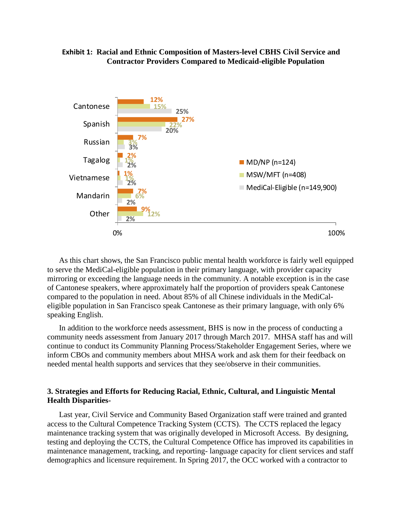#### **Exhibit 1: Racial and Ethnic Composition of Masters-level CBHS Civil Service and Contractor Providers Compared to Medicaid-eligible Population**



As this chart shows, the San Francisco public mental health workforce is fairly well equipped to serve the MediCal-eligible population in their primary language, with provider capacity mirroring or exceeding the language needs in the community. A notable exception is in the case of Cantonese speakers, where approximately half the proportion of providers speak Cantonese compared to the population in need. About 85% of all Chinese individuals in the MediCaleligible population in San Francisco speak Cantonese as their primary language, with only 6% speaking English.

In addition to the workforce needs assessment, BHS is now in the process of conducting a community needs assessment from January 2017 through March 2017. MHSA staff has and will continue to conduct its Community Planning Process/Stakeholder Engagement Series, where we inform CBOs and community members about MHSA work and ask them for their feedback on needed mental health supports and services that they see/observe in their communities.

#### **3. Strategies and Efforts for Reducing Racial, Ethnic, Cultural, and Linguistic Mental Health Disparities-**

Last year, Civil Service and Community Based Organization staff were trained and granted access to the Cultural Competence Tracking System (CCTS). The CCTS replaced the legacy maintenance tracking system that was originally developed in Microsoft Access. By designing, testing and deploying the CCTS, the Cultural Competence Office has improved its capabilities in maintenance management, tracking, and reporting- language capacity for client services and staff demographics and licensure requirement. In Spring 2017, the OCC worked with a contractor to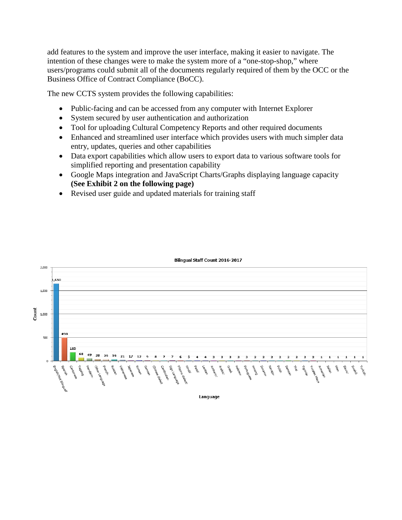add features to the system and improve the user interface, making it easier to navigate. The intention of these changes were to make the system more of a "one-stop-shop," where users/programs could submit all of the documents regularly required of them by the OCC or the Business Office of Contract Compliance (BoCC).

The new CCTS system provides the following capabilities:

- Public-facing and can be accessed from any computer with Internet Explorer
- System secured by user authentication and authorization
- Tool for uploading Cultural Competency Reports and other required documents
- Enhanced and streamlined user interface which provides users with much simpler data entry, updates, queries and other capabilities
- Data export capabilities which allow users to export data to various software tools for simplified reporting and presentation capability
- Google Maps integration and JavaScript Charts/Graphs displaying language capacity **(See Exhibit 2 on the following page)**
- Revised user guide and updated materials for training staff



#### Bilingual Staff Count 2016-2017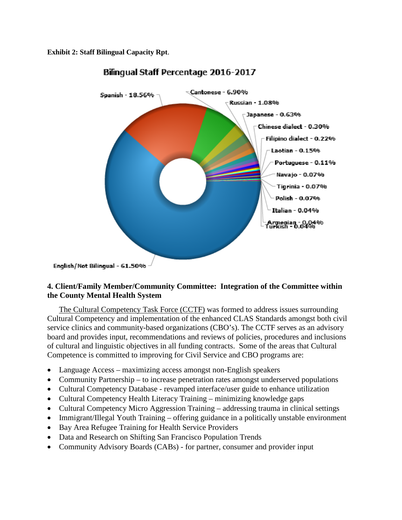**Exhibit 2: Staff Bilingual Capacity Rpt**.



# Bilingual Staff Percentage 2016-2017

English/Not Bilingual - 61.50%

## **4. Client/Family Member/Community Committee: Integration of the Committee within the County Mental Health System**

The Cultural Competency Task Force (CCTF) was formed to address issues surrounding Cultural Competency and implementation of the enhanced CLAS Standards amongst both civil service clinics and community-based organizations (CBO's). The CCTF serves as an advisory board and provides input, recommendations and reviews of policies, procedures and inclusions of cultural and linguistic objectives in all funding contracts. Some of the areas that Cultural Competence is committed to improving for Civil Service and CBO programs are:

- Language Access maximizing access amongst non-English speakers
- Community Partnership to increase penetration rates amongst underserved populations
- Cultural Competency Database revamped interface/user guide to enhance utilization
- Cultural Competency Health Literacy Training minimizing knowledge gaps
- Cultural Competency Micro Aggression Training addressing trauma in clinical settings
- Immigrant/Illegal Youth Training offering guidance in a politically unstable environment
- Bay Area Refugee Training for Health Service Providers
- Data and Research on Shifting San Francisco Population Trends
- Community Advisory Boards (CABs) for partner, consumer and provider input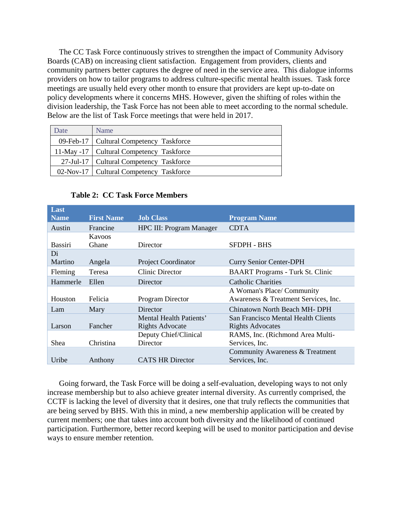The CC Task Force continuously strives to strengthen the impact of Community Advisory Boards (CAB) on increasing client satisfaction. Engagement from providers, clients and community partners better captures the degree of need in the service area. This dialogue informs providers on how to tailor programs to address culture-specific mental health issues. Task force meetings are usually held every other month to ensure that providers are kept up-to-date on policy developments where it concerns MHS. However, given the shifting of roles within the division leadership, the Task Force has not been able to meet according to the normal schedule. Below are the list of Task Force meetings that were held in 2017.

| Date | Name                                       |
|------|--------------------------------------------|
|      | 09-Feb-17   Cultural Competency Taskforce  |
|      | 11-May -17   Cultural Competency Taskforce |
|      | 27-Jul-17   Cultural Competency Taskforce  |
|      | 02-Nov-17   Cultural Competency Taskforce  |

| Last        |                   |                                 |                                         |  |
|-------------|-------------------|---------------------------------|-----------------------------------------|--|
| <b>Name</b> | <b>First Name</b> | <b>Job Class</b>                | <b>Program Name</b>                     |  |
| Austin      | Francine          | <b>HPC III: Program Manager</b> | <b>CDTA</b>                             |  |
|             | Kavoos            |                                 |                                         |  |
| Bassiri     | Ghane             | Director                        | SFDPH - BHS                             |  |
| Di          |                   |                                 |                                         |  |
| Martino     | Angela            | <b>Project Coordinator</b>      | <b>Curry Senior Center-DPH</b>          |  |
| Fleming     | Teresa            | Clinic Director                 | <b>BAART</b> Programs - Turk St. Clinic |  |
| Hammerle    | Ellen             | Director                        | <b>Catholic Charities</b>               |  |
|             |                   |                                 | A Woman's Place/ Community              |  |
| Houston     | Felicia           | Program Director                | Awareness & Treatment Services, Inc.    |  |
| Lam         | Mary              | Director                        | Chinatown North Beach MH-DPH            |  |
|             |                   | Mental Health Patients'         | San Francisco Mental Health Clients     |  |
| Larson      | Fancher           | <b>Rights Advocate</b>          | <b>Rights Advocates</b>                 |  |
|             |                   | Deputy Chief/Clinical           | RAMS, Inc. (Richmond Area Multi-        |  |
| Shea        | Christina         | Director                        | Services, Inc.                          |  |
|             |                   |                                 | Community Awareness & Treatment         |  |
| Uribe       | Anthony           | <b>CATS HR Director</b>         | Services, Inc.                          |  |

### **Table 2: CC Task Force Members**

Going forward, the Task Force will be doing a self-evaluation, developing ways to not only increase membership but to also achieve greater internal diversity. As currently comprised, the CCTF is lacking the level of diversity that it desires, one that truly reflects the communities that are being served by BHS. With this in mind, a new membership application will be created by current members; one that takes into account both diversity and the likelihood of continued participation. Furthermore, better record keeping will be used to monitor participation and devise ways to ensure member retention.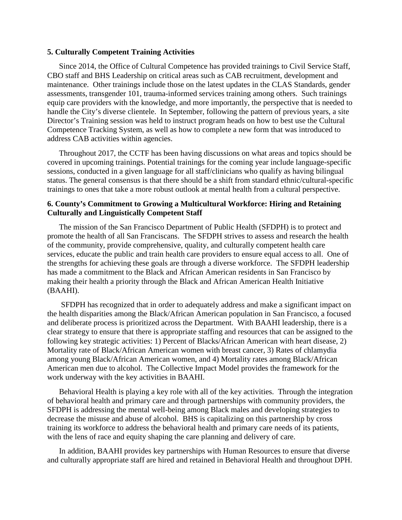#### **5. Culturally Competent Training Activities**

Since 2014, the Office of Cultural Competence has provided trainings to Civil Service Staff, CBO staff and BHS Leadership on critical areas such as CAB recruitment, development and maintenance. Other trainings include those on the latest updates in the CLAS Standards, gender assessments, transgender 101, trauma-informed services training among others. Such trainings equip care providers with the knowledge, and more importantly, the perspective that is needed to handle the City's diverse clientele. In September, following the pattern of previous years, a site Director's Training session was held to instruct program heads on how to best use the Cultural Competence Tracking System, as well as how to complete a new form that was introduced to address CAB activities within agencies.

Throughout 2017, the CCTF has been having discussions on what areas and topics should be covered in upcoming trainings. Potential trainings for the coming year include language-specific sessions, conducted in a given language for all staff/clinicians who qualify as having bilingual status. The general consensus is that there should be a shift from standard ethnic/cultural-specific trainings to ones that take a more robust outlook at mental health from a cultural perspective.

#### **6. County's Commitment to Growing a Multicultural Workforce: Hiring and Retaining Culturally and Linguistically Competent Staff**

The mission of the San Francisco Department of Public Health (SFDPH) is to protect and promote the health of all San Franciscans. The SFDPH strives to assess and research the health of the community, provide comprehensive, quality, and culturally competent health care services, educate the public and train health care providers to ensure equal access to all. One of the strengths for achieving these goals are through a diverse workforce. The SFDPH leadership has made a commitment to the Black and African American residents in San Francisco by making their health a priority through the Black and African American Health Initiative (BAAHI).

SFDPH has recognized that in order to adequately address and make a significant impact on the health disparities among the Black/African American population in San Francisco, a focused and deliberate process is prioritized across the Department. With BAAHI leadership, there is a clear strategy to ensure that there is appropriate staffing and resources that can be assigned to the following key strategic activities: 1) Percent of Blacks/African American with heart disease, 2) Mortality rate of Black/African American women with breast cancer, 3) Rates of chlamydia among young Black/African American women, and 4) Mortality rates among Black/African American men due to alcohol. The Collective Impact Model provides the framework for the work underway with the key activities in BAAHI.

Behavioral Health is playing a key role with all of the key activities. Through the integration of behavioral health and primary care and through partnerships with community providers, the SFDPH is addressing the mental well-being among Black males and developing strategies to decrease the misuse and abuse of alcohol. BHS is capitalizing on this partnership by cross training its workforce to address the behavioral health and primary care needs of its patients, with the lens of race and equity shaping the care planning and delivery of care.

In addition, BAAHI provides key partnerships with Human Resources to ensure that diverse and culturally appropriate staff are hired and retained in Behavioral Health and throughout DPH.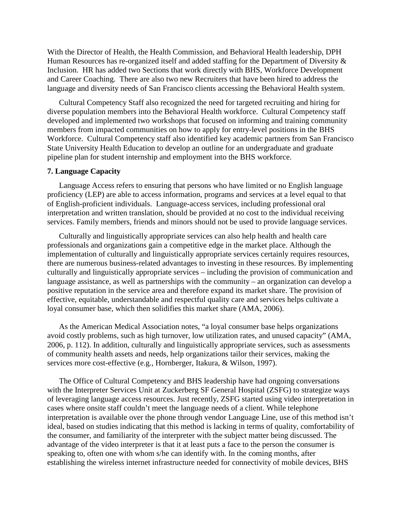With the Director of Health, the Health Commission, and Behavioral Health leadership, DPH Human Resources has re-organized itself and added staffing for the Department of Diversity & Inclusion. HR has added two Sections that work directly with BHS, Workforce Development and Career Coaching. There are also two new Recruiters that have been hired to address the language and diversity needs of San Francisco clients accessing the Behavioral Health system.

Cultural Competency Staff also recognized the need for targeted recruiting and hiring for diverse population members into the Behavioral Health workforce. Cultural Competency staff developed and implemented two workshops that focused on informing and training community members from impacted communities on how to apply for entry-level positions in the BHS Workforce. Cultural Competency staff also identified key academic partners from San Francisco State University Health Education to develop an outline for an undergraduate and graduate pipeline plan for student internship and employment into the BHS workforce.

#### **7. Language Capacity**

Language Access refers to ensuring that persons who have limited or no English language proficiency (LEP) are able to access information, programs and services at a level equal to that of English-proficient individuals. Language-access services, including professional oral interpretation and written translation, should be provided at no cost to the individual receiving services. Family members, friends and minors should not be used to provide language services.

Culturally and linguistically appropriate services can also help health and health care professionals and organizations gain a competitive edge in the market place. Although the implementation of culturally and linguistically appropriate services certainly requires resources, there are numerous business-related advantages to investing in these resources. By implementing culturally and linguistically appropriate services – including the provision of communication and language assistance, as well as partnerships with the community – an organization can develop a positive reputation in the service area and therefore expand its market share. The provision of effective, equitable, understandable and respectful quality care and services helps cultivate a loyal consumer base, which then solidifies this market share (AMA, 2006).

As the American Medical Association notes, "a loyal consumer base helps organizations avoid costly problems, such as high turnover, low utilization rates, and unused capacity" (AMA, 2006, p. 112). In addition, culturally and linguistically appropriate services, such as assessments of community health assets and needs, help organizations tailor their services, making the services more cost-effective (e.g., Hornberger, Itakura, & Wilson, 1997).

The Office of Cultural Competency and BHS leadership have had ongoing conversations with the Interpreter Services Unit at Zuckerberg SF General Hospital (ZSFG) to strategize ways of leveraging language access resources. Just recently, ZSFG started using video interpretation in cases where onsite staff couldn't meet the language needs of a client. While telephone interpretation is available over the phone through vendor Language Line, use of this method isn't ideal, based on studies indicating that this method is lacking in terms of quality, comfortability of the consumer, and familiarity of the interpreter with the subject matter being discussed. The advantage of the video interpreter is that it at least puts a face to the person the consumer is speaking to, often one with whom s/he can identify with. In the coming months, after establishing the wireless internet infrastructure needed for connectivity of mobile devices, BHS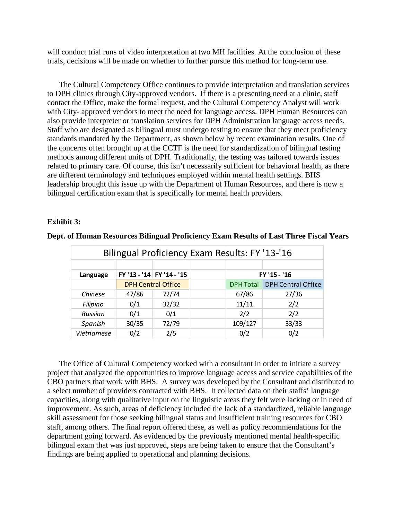will conduct trial runs of video interpretation at two MH facilities. At the conclusion of these trials, decisions will be made on whether to further pursue this method for long-term use.

The Cultural Competency Office continues to provide interpretation and translation services to DPH clinics through City-approved vendors. If there is a presenting need at a clinic, staff contact the Office, make the formal request, and the Cultural Competency Analyst will work with City- approved vendors to meet the need for language access. DPH Human Resources can also provide interpreter or translation services for DPH Administration language access needs. Staff who are designated as bilingual must undergo testing to ensure that they meet proficiency standards mandated by the Department, as shown below by recent examination results. One of the concerns often brought up at the CCTF is the need for standardization of bilingual testing methods among different units of DPH. Traditionally, the testing was tailored towards issues related to primary care. Of course, this isn't necessarily sufficient for behavioral health, as there are different terminology and techniques employed within mental health settings. BHS leadership brought this issue up with the Department of Human Resources, and there is now a bilingual certification exam that is specifically for mental health providers.

#### **Exhibit 3:**

| Bilingual Proficiency Exam Results: FY '13-'16 |                           |                           |  |                  |                           |  |  |  |  |
|------------------------------------------------|---------------------------|---------------------------|--|------------------|---------------------------|--|--|--|--|
|                                                |                           |                           |  |                  |                           |  |  |  |  |
| Language                                       |                           | FY '13 - '14 FY '14 - '15 |  | FY '15 - '16     |                           |  |  |  |  |
|                                                | <b>DPH Central Office</b> |                           |  | <b>DPH Total</b> | <b>DPH Central Office</b> |  |  |  |  |
| Chinese                                        | 47/86                     | 72/74                     |  | 67/86            | 27/36                     |  |  |  |  |
| Filipino                                       | 0/1                       | 32/32                     |  | 11/11            | 2/2                       |  |  |  |  |
| Russian                                        | 0/1                       | 0/1                       |  | 2/2              | 2/2                       |  |  |  |  |
| Spanish                                        | 30/35                     | 72/79                     |  | 109/127          | 33/33                     |  |  |  |  |
| Vietnamese                                     | 0/2                       | 2/5                       |  | 0/2              | 0/2                       |  |  |  |  |

**Dept. of Human Resources Bilingual Proficiency Exam Results of Last Three Fiscal Years** 

The Office of Cultural Competency worked with a consultant in order to initiate a survey project that analyzed the opportunities to improve language access and service capabilities of the CBO partners that work with BHS. A survey was developed by the Consultant and distributed to a select number of providers contracted with BHS. It collected data on their staffs' language capacities, along with qualitative input on the linguistic areas they felt were lacking or in need of improvement. As such, areas of deficiency included the lack of a standardized, reliable language skill assessment for those seeking bilingual status and insufficient training resources for CBO staff, among others. The final report offered these, as well as policy recommendations for the department going forward. As evidenced by the previously mentioned mental health-specific bilingual exam that was just approved, steps are being taken to ensure that the Consultant's findings are being applied to operational and planning decisions.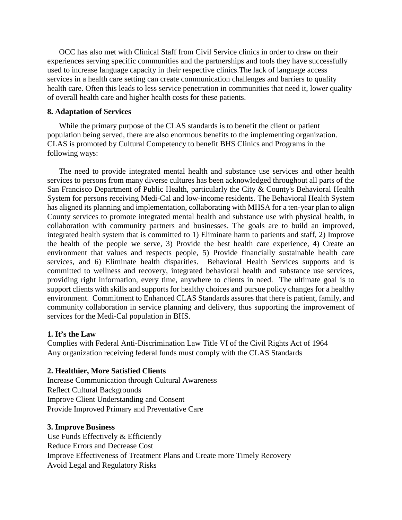OCC has also met with Clinical Staff from Civil Service clinics in order to draw on their experiences serving specific communities and the partnerships and tools they have successfully used to increase language capacity in their respective clinics.The lack of language access services in a health care setting can create communication challenges and barriers to quality health care. Often this leads to less service penetration in communities that need it, lower quality of overall health care and higher health costs for these patients.

#### **8. Adaptation of Services**

While the primary purpose of the CLAS standards is to benefit the client or patient population being served, there are also enormous benefits to the implementing organization. CLAS is promoted by Cultural Competency to benefit BHS Clinics and Programs in the following ways:

The need to provide integrated mental health and substance use services and other health services to persons from many diverse cultures has been acknowledged throughout all parts of the San Francisco Department of Public Health, particularly the City & County's Behavioral Health System for persons receiving Medi-Cal and low-income residents. The Behavioral Health System has aligned its planning and implementation, collaborating with MHSA for a ten-year plan to align County services to promote integrated mental health and substance use with physical health, in collaboration with community partners and businesses. The goals are to build an improved, integrated health system that is committed to 1) Eliminate harm to patients and staff, 2) Improve the health of the people we serve, 3) Provide the best health care experience, 4) Create an environment that values and respects people, 5) Provide financially sustainable health care services, and 6) Eliminate health disparities. Behavioral Health Services supports and is committed to wellness and recovery, integrated behavioral health and substance use services, providing right information, every time, anywhere to clients in need. The ultimate goal is to support clients with skills and supports for healthy choices and pursue policy changes for a healthy environment. Commitment to Enhanced CLAS Standards assures that there is patient, family, and community collaboration in service planning and delivery, thus supporting the improvement of services for the Medi-Cal population in BHS.

#### **1. It's the Law**

Complies with Federal Anti-Discrimination Law Title VI of the Civil Rights Act of 1964 Any organization receiving federal funds must comply with the CLAS Standards

#### **2. Healthier, More Satisfied Clients**

Increase Communication through Cultural Awareness Reflect Cultural Backgrounds Improve Client Understanding and Consent Provide Improved Primary and Preventative Care

#### **3. Improve Business**

Use Funds Effectively & Efficiently Reduce Errors and Decrease Cost Improve Effectiveness of Treatment Plans and Create more Timely Recovery Avoid Legal and Regulatory Risks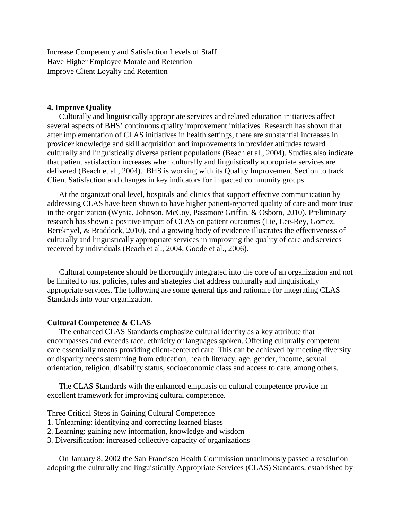Increase Competency and Satisfaction Levels of Staff Have Higher Employee Morale and Retention Improve Client Loyalty and Retention

#### **4. Improve Quality**

Culturally and linguistically appropriate services and related education initiatives affect several aspects of BHS' continuous quality improvement initiatives. Research has shown that after implementation of CLAS initiatives in health settings, there are substantial increases in provider knowledge and skill acquisition and improvements in provider attitudes toward culturally and linguistically diverse patient populations (Beach et al., 2004). Studies also indicate that patient satisfaction increases when culturally and linguistically appropriate services are delivered (Beach et al., 2004). BHS is working with its Quality Improvement Section to track Client Satisfaction and changes in key indicators for impacted community groups.

At the organizational level, hospitals and clinics that support effective communication by addressing CLAS have been shown to have higher patient-reported quality of care and more trust in the organization (Wynia, Johnson, McCoy, Passmore Griffin, & Osborn, 2010). Preliminary research has shown a positive impact of CLAS on patient outcomes (Lie, Lee-Rey, Gomez, Bereknyel, & Braddock, 2010), and a growing body of evidence illustrates the effectiveness of culturally and linguistically appropriate services in improving the quality of care and services received by individuals (Beach et al., 2004; Goode et al., 2006).

Cultural competence should be thoroughly integrated into the core of an organization and not be limited to just policies, rules and strategies that address culturally and linguistically appropriate services. The following are some general tips and rationale for integrating CLAS Standards into your organization.

#### **Cultural Competence & CLAS**

The enhanced CLAS Standards emphasize cultural identity as a key attribute that encompasses and exceeds race, ethnicity or languages spoken. Offering culturally competent care essentially means providing client-centered care. This can be achieved by meeting diversity or disparity needs stemming from education, health literacy, age, gender, income, sexual orientation, religion, disability status, socioeconomic class and access to care, among others.

The CLAS Standards with the enhanced emphasis on cultural competence provide an excellent framework for improving cultural competence.

#### Three Critical Steps in Gaining Cultural Competence

- 1. Unlearning: identifying and correcting learned biases
- 2. Learning: gaining new information, knowledge and wisdom
- 3. Diversification: increased collective capacity of organizations

On January 8, 2002 the San Francisco Health Commission unanimously passed a resolution adopting the culturally and linguistically Appropriate Services (CLAS) Standards, established by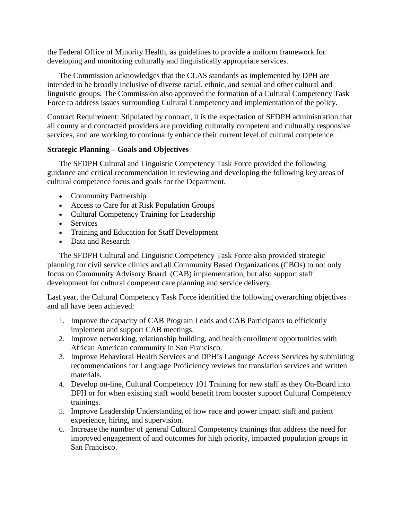the Federal Office of Minority Health, as guidelines to provide a uniform framework for developing and monitoring culturally and linguistically appropriate services.

The Commission acknowledges that the CLAS standards as implemented by DPH are intended to be broadly inclusive of diverse racial, ethnic, and sexual and other cultural and linguistic groups. The Commission also approved the formation of a Cultural Competency Task Force to address issues surrounding Cultural Competency and implementation of the policy.

Contract Requirement: Stipulated by contract, it is the expectation of SFDPH administration that all county and contracted providers are providing culturally competent and culturally responsive services, and are working to continually enhance their current level of cultural competence.

### **Strategic Planning – Goals and Objectives**

The SFDPH Cultural and Linguistic Competency Task Force provided the following guidance and critical recommendation in reviewing and developing the following key areas of cultural competence focus and goals for the Department.

- Community Partnership
- Access to Care for at Risk Population Groups
- Cultural Competency Training for Leadership
- Services
- Training and Education for Staff Development
- Data and Research

The SFDPH Cultural and Linguistic Competency Task Force also provided strategic planning for civil service clinics and all Community Based Organizations (CBOs) to not only focus on Community Advisory Board (CAB) implementation, but also support staff development for cultural competent care planning and service delivery.

Last year, the Cultural Competency Task Force identified the following overarching objectives and all have been achieved:

- 1. Improve the capacity of CAB Program Leads and CAB Participants to efficiently implement and support CAB meetings.
- 2. Improve networking, relationship building, and health enrollment opportunities with African American community in San Francisco.
- 3. Improve Behavioral Health Services and DPH's Language Access Services by submitting recommendations for Language Proficiency reviews for translation services and written materials.
- 4. Develop on-line, Cultural Competency 101 Training for new staff as they On-Board into DPH or for when existing staff would benefit from booster support Cultural Competency trainings.
- 5. Improve Leadership Understanding of how race and power impact staff and patient experience, hiring, and supervision.
- 6. Increase the number of general Cultural Competency trainings that address the need for improved engagement of and outcomes for high priority, impacted population groups in San Francisco.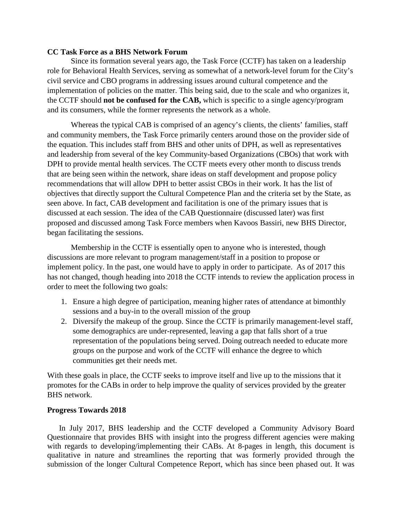#### **CC Task Force as a BHS Network Forum**

Since its formation several years ago, the Task Force (CCTF) has taken on a leadership role for Behavioral Health Services, serving as somewhat of a network-level forum for the City's civil service and CBO programs in addressing issues around cultural competence and the implementation of policies on the matter. This being said, due to the scale and who organizes it, the CCTF should **not be confused for the CAB,** which is specific to a single agency/program and its consumers, while the former represents the network as a whole.

Whereas the typical CAB is comprised of an agency's clients, the clients' families, staff and community members, the Task Force primarily centers around those on the provider side of the equation. This includes staff from BHS and other units of DPH, as well as representatives and leadership from several of the key Community-based Organizations (CBOs) that work with DPH to provide mental health services. The CCTF meets every other month to discuss trends that are being seen within the network, share ideas on staff development and propose policy recommendations that will allow DPH to better assist CBOs in their work. It has the list of objectives that directly support the Cultural Competence Plan and the criteria set by the State, as seen above. In fact, CAB development and facilitation is one of the primary issues that is discussed at each session. The idea of the CAB Questionnaire (discussed later) was first proposed and discussed among Task Force members when Kavoos Bassiri, new BHS Director, began facilitating the sessions.

Membership in the CCTF is essentially open to anyone who is interested, though discussions are more relevant to program management/staff in a position to propose or implement policy. In the past, one would have to apply in order to participate. As of 2017 this has not changed, though heading into 2018 the CCTF intends to review the application process in order to meet the following two goals:

- 1. Ensure a high degree of participation, meaning higher rates of attendance at bimonthly sessions and a buy-in to the overall mission of the group
- 2. Diversify the makeup of the group. Since the CCTF is primarily management-level staff, some demographics are under-represented, leaving a gap that falls short of a true representation of the populations being served. Doing outreach needed to educate more groups on the purpose and work of the CCTF will enhance the degree to which communities get their needs met.

With these goals in place, the CCTF seeks to improve itself and live up to the missions that it promotes for the CABs in order to help improve the quality of services provided by the greater BHS network.

#### **Progress Towards 2018**

In July 2017, BHS leadership and the CCTF developed a Community Advisory Board Questionnaire that provides BHS with insight into the progress different agencies were making with regards to developing/implementing their CABs. At 8-pages in length, this document is qualitative in nature and streamlines the reporting that was formerly provided through the submission of the longer Cultural Competence Report, which has since been phased out. It was